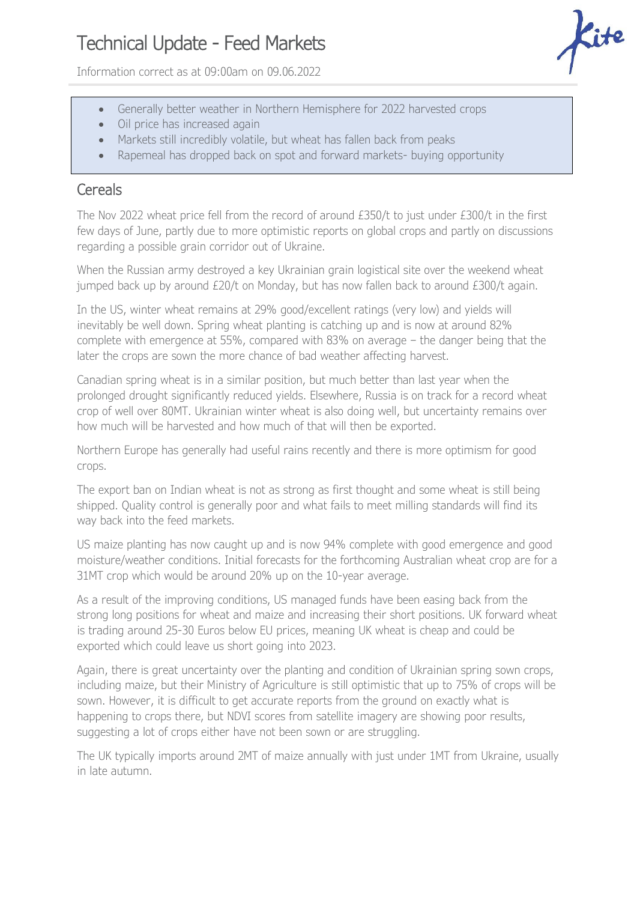## Technical Update - Feed Markets

Information correct as at 09:00am on 09.06.2022

- Generally better weather in Northern Hemisphere for 2022 harvested crops
- Oil price has increased again
- Markets still incredibly volatile, but wheat has fallen back from peaks
- Rapemeal has dropped back on spot and forward markets- buying opportunity

## **Cereals**

The Nov 2022 wheat price fell from the record of around £350/t to just under £300/t in the first few days of June, partly due to more optimistic reports on global crops and partly on discussions regarding a possible grain corridor out of Ukraine.

When the Russian army destroyed a key Ukrainian grain logistical site over the weekend wheat jumped back up by around £20/t on Monday, but has now fallen back to around £300/t again.

In the US, winter wheat remains at 29% good/excellent ratings (very low) and yields will inevitably be well down. Spring wheat planting is catching up and is now at around 82% complete with emergence at 55%, compared with 83% on average – the danger being that the later the crops are sown the more chance of bad weather affecting harvest.

Canadian spring wheat is in a similar position, but much better than last year when the prolonged drought significantly reduced yields. Elsewhere, Russia is on track for a record wheat crop of well over 80MT. Ukrainian winter wheat is also doing well, but uncertainty remains over how much will be harvested and how much of that will then be exported.

Northern Europe has generally had useful rains recently and there is more optimism for good crops.

The export ban on Indian wheat is not as strong as first thought and some wheat is still being shipped. Quality control is generally poor and what fails to meet milling standards will find its way back into the feed markets.

US maize planting has now caught up and is now 94% complete with good emergence and good moisture/weather conditions. Initial forecasts for the forthcoming Australian wheat crop are for a 31MT crop which would be around 20% up on the 10-year average.

As a result of the improving conditions, US managed funds have been easing back from the strong long positions for wheat and maize and increasing their short positions. UK forward wheat is trading around 25-30 Euros below EU prices, meaning UK wheat is cheap and could be exported which could leave us short going into 2023.

Again, there is great uncertainty over the planting and condition of Ukrainian spring sown crops, including maize, but their Ministry of Agriculture is still optimistic that up to 75% of crops will be sown. However, it is difficult to get accurate reports from the ground on exactly what is happening to crops there, but NDVI scores from satellite imagery are showing poor results, suggesting a lot of crops either have not been sown or are struggling.

The UK typically imports around 2MT of maize annually with just under 1MT from Ukraine, usually in late autumn.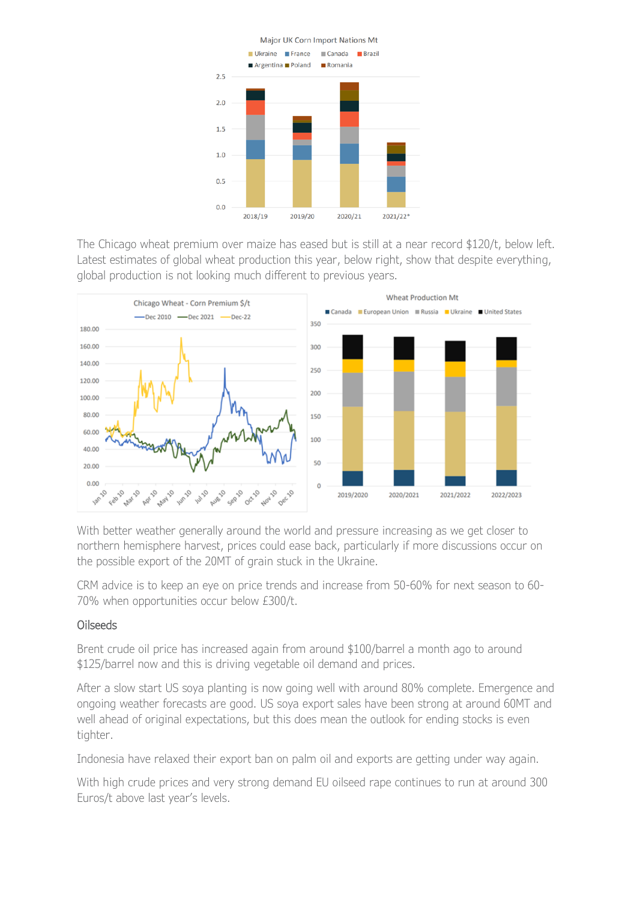

The Chicago wheat premium over maize has eased but is still at a near record \$120/t, below left. Latest estimates of global wheat production this year, below right, show that despite everything, global production is not looking much different to previous years.



With better weather generally around the world and pressure increasing as we get closer to northern hemisphere harvest, prices could ease back, particularly if more discussions occur on the possible export of the 20MT of grain stuck in the Ukraine.

CRM advice is to keep an eye on price trends and increase from 50-60% for next season to 60- 70% when opportunities occur below £300/t.

## Oilseeds

Brent crude oil price has increased again from around \$100/barrel a month ago to around \$125/barrel now and this is driving vegetable oil demand and prices.

After a slow start US soya planting is now going well with around 80% complete. Emergence and ongoing weather forecasts are good. US soya export sales have been strong at around 60MT and well ahead of original expectations, but this does mean the outlook for ending stocks is even tighter.

Indonesia have relaxed their export ban on palm oil and exports are getting under way again.

With high crude prices and very strong demand EU oilseed rape continues to run at around 300 Euros/t above last year's levels.